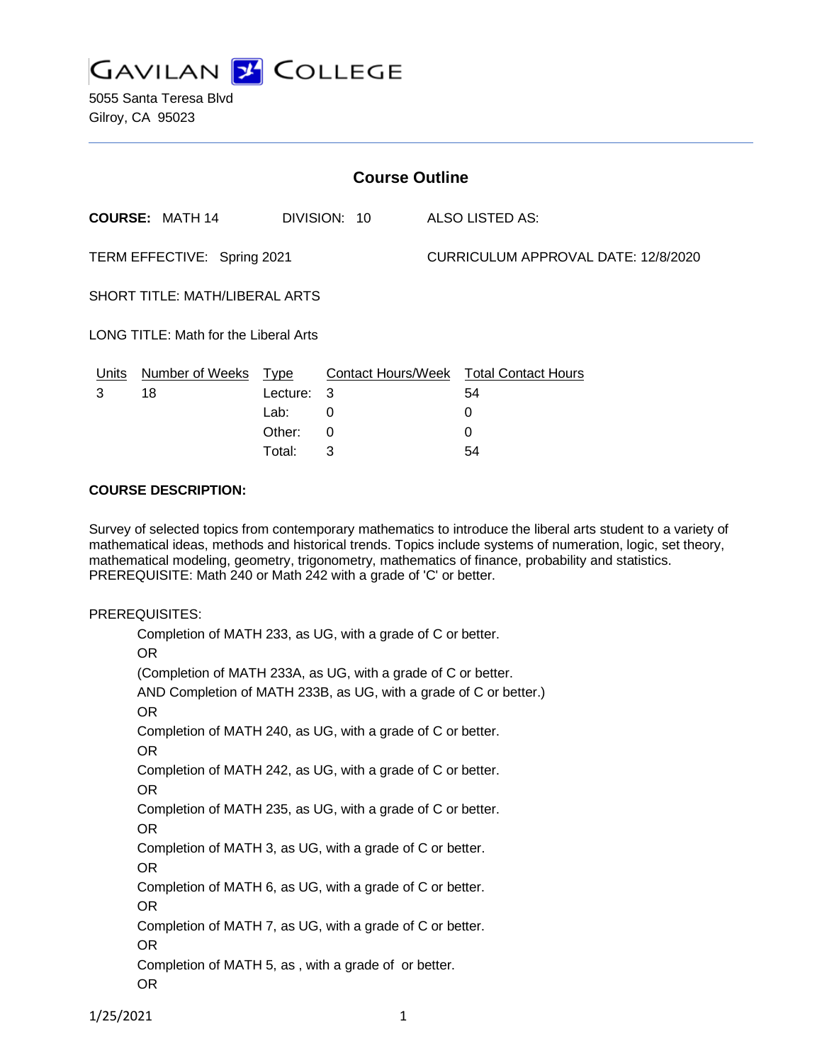

5055 Santa Teresa Blvd Gilroy, CA 95023

| <b>Course Outline</b>                 |                        |             |                           |                                     |                            |
|---------------------------------------|------------------------|-------------|---------------------------|-------------------------------------|----------------------------|
|                                       | <b>COURSE: MATH 14</b> |             | DIVISION: 10              |                                     | ALSO LISTED AS:            |
| TERM EFFECTIVE: Spring 2021           |                        |             |                           | CURRICULUM APPROVAL DATE: 12/8/2020 |                            |
| SHORT TITLE: MATH/LIBERAL ARTS        |                        |             |                           |                                     |                            |
| LONG TITLE: Math for the Liberal Arts |                        |             |                           |                                     |                            |
| Units                                 | Number of Weeks        | <b>Type</b> | <b>Contact Hours/Week</b> |                                     | <b>Total Contact Hours</b> |
| 3                                     | 18                     | Lecture: 3  |                           |                                     | 54                         |
|                                       |                        | Lab:        | 0                         |                                     | 0                          |
|                                       |                        | Other:      | 0                         |                                     | 0                          |

Total: 3 54

#### **COURSE DESCRIPTION:**

Survey of selected topics from contemporary mathematics to introduce the liberal arts student to a variety of mathematical ideas, methods and historical trends. Topics include systems of numeration, logic, set theory, mathematical modeling, geometry, trigonometry, mathematics of finance, probability and statistics. PREREQUISITE: Math 240 or Math 242 with a grade of 'C' or better.

#### PREREQUISITES:

Completion of MATH 233, as UG, with a grade of C or better. OR (Completion of MATH 233A, as UG, with a grade of C or better. AND Completion of MATH 233B, as UG, with a grade of C or better.) OR Completion of MATH 240, as UG, with a grade of C or better. OR Completion of MATH 242, as UG, with a grade of C or better. OR Completion of MATH 235, as UG, with a grade of C or better. OR Completion of MATH 3, as UG, with a grade of C or better. OR Completion of MATH 6, as UG, with a grade of C or better. OR Completion of MATH 7, as UG, with a grade of C or better. OR Completion of MATH 5, as , with a grade of or better. OR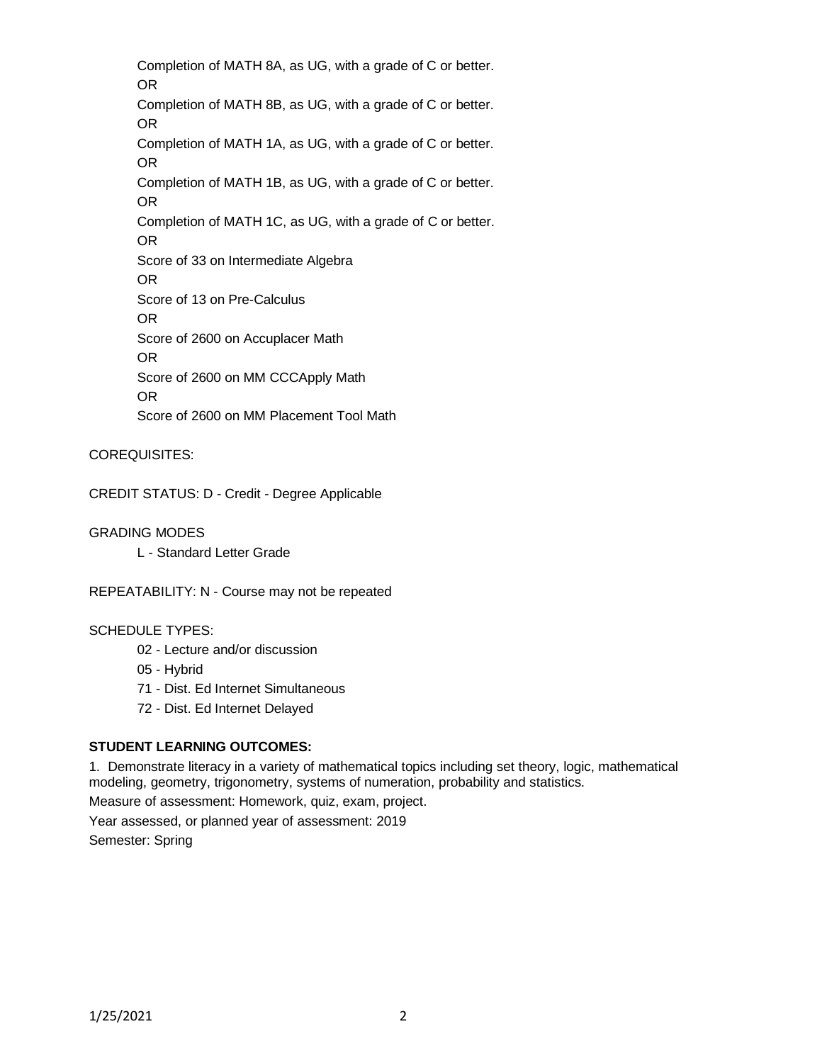Completion of MATH 8A, as UG, with a grade of C or better. OR Completion of MATH 8B, as UG, with a grade of C or better. OR Completion of MATH 1A, as UG, with a grade of C or better. OR Completion of MATH 1B, as UG, with a grade of C or better. OR Completion of MATH 1C, as UG, with a grade of C or better. OR Score of 33 on Intermediate Algebra OR Score of 13 on Pre-Calculus OR Score of 2600 on Accuplacer Math OR Score of 2600 on MM CCCApply Math OR Score of 2600 on MM Placement Tool Math

### COREQUISITES:

CREDIT STATUS: D - Credit - Degree Applicable

GRADING MODES

L - Standard Letter Grade

REPEATABILITY: N - Course may not be repeated

### SCHEDULE TYPES:

- 02 Lecture and/or discussion
- 05 Hybrid
- 71 Dist. Ed Internet Simultaneous
- 72 Dist. Ed Internet Delayed

### **STUDENT LEARNING OUTCOMES:**

1. Demonstrate literacy in a variety of mathematical topics including set theory, logic, mathematical modeling, geometry, trigonometry, systems of numeration, probability and statistics. Measure of assessment: Homework, quiz, exam, project. Year assessed, or planned year of assessment: 2019 Semester: Spring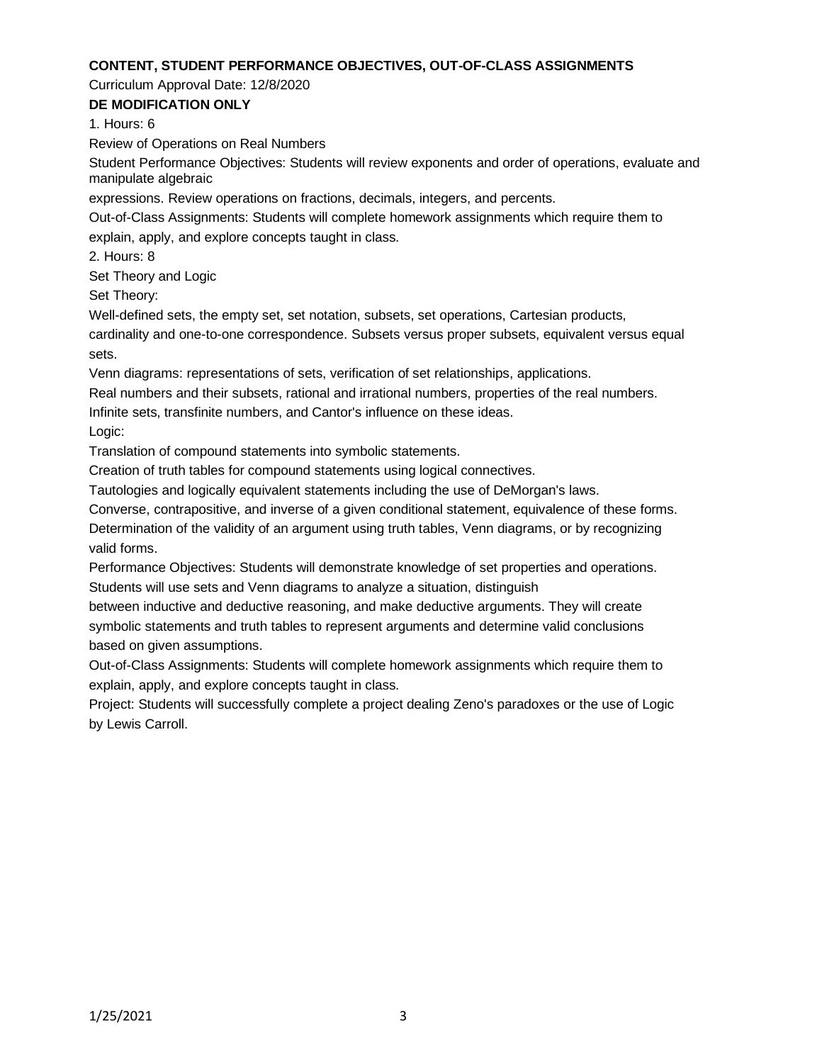### **CONTENT, STUDENT PERFORMANCE OBJECTIVES, OUT-OF-CLASS ASSIGNMENTS**

Curriculum Approval Date: 12/8/2020

**DE MODIFICATION ONLY**

1. Hours: 6

Review of Operations on Real Numbers

Student Performance Objectives: Students will review exponents and order of operations, evaluate and manipulate algebraic

expressions. Review operations on fractions, decimals, integers, and percents.

Out-of-Class Assignments: Students will complete homework assignments which require them to explain, apply, and explore concepts taught in class.

2. Hours: 8

Set Theory and Logic

Set Theory:

Well-defined sets, the empty set, set notation, subsets, set operations, Cartesian products,

cardinality and one-to-one correspondence. Subsets versus proper subsets, equivalent versus equal sets.

Venn diagrams: representations of sets, verification of set relationships, applications.

Real numbers and their subsets, rational and irrational numbers, properties of the real numbers.

Infinite sets, transfinite numbers, and Cantor's influence on these ideas.

Logic:

Translation of compound statements into symbolic statements.

Creation of truth tables for compound statements using logical connectives.

Tautologies and logically equivalent statements including the use of DeMorgan's laws.

Converse, contrapositive, and inverse of a given conditional statement, equivalence of these forms. Determination of the validity of an argument using truth tables, Venn diagrams, or by recognizing

valid forms.

Performance Objectives: Students will demonstrate knowledge of set properties and operations. Students will use sets and Venn diagrams to analyze a situation, distinguish

between inductive and deductive reasoning, and make deductive arguments. They will create symbolic statements and truth tables to represent arguments and determine valid conclusions based on given assumptions.

Out-of-Class Assignments: Students will complete homework assignments which require them to explain, apply, and explore concepts taught in class.

Project: Students will successfully complete a project dealing Zeno's paradoxes or the use of Logic by Lewis Carroll.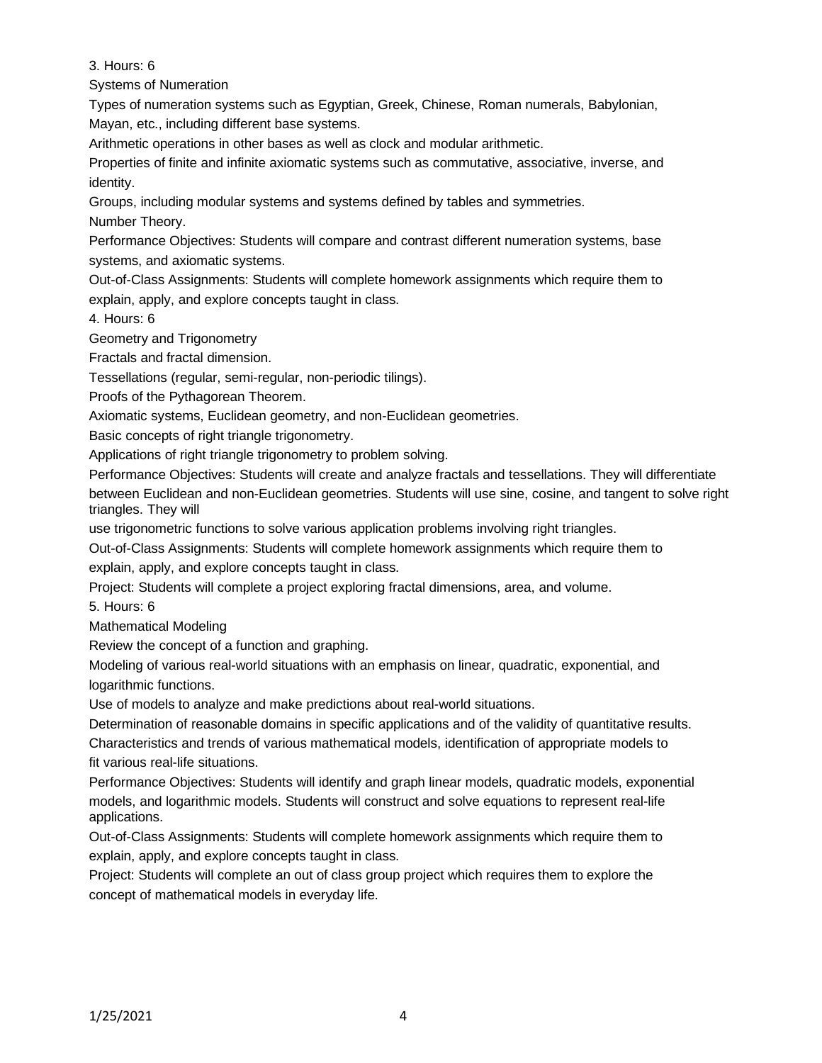3. Hours: 6

Systems of Numeration

Types of numeration systems such as Egyptian, Greek, Chinese, Roman numerals, Babylonian, Mayan, etc., including different base systems.

Arithmetic operations in other bases as well as clock and modular arithmetic.

Properties of finite and infinite axiomatic systems such as commutative, associative, inverse, and identity.

Groups, including modular systems and systems defined by tables and symmetries. Number Theory.

Performance Objectives: Students will compare and contrast different numeration systems, base systems, and axiomatic systems.

Out-of-Class Assignments: Students will complete homework assignments which require them to explain, apply, and explore concepts taught in class.

4. Hours: 6

Geometry and Trigonometry

Fractals and fractal dimension.

Tessellations (regular, semi-regular, non-periodic tilings).

Proofs of the Pythagorean Theorem.

Axiomatic systems, Euclidean geometry, and non-Euclidean geometries.

Basic concepts of right triangle trigonometry.

Applications of right triangle trigonometry to problem solving.

Performance Objectives: Students will create and analyze fractals and tessellations. They will differentiate between Euclidean and non-Euclidean geometries. Students will use sine, cosine, and tangent to solve right triangles. They will

use trigonometric functions to solve various application problems involving right triangles.

Out-of-Class Assignments: Students will complete homework assignments which require them to explain, apply, and explore concepts taught in class.

Project: Students will complete a project exploring fractal dimensions, area, and volume.

5. Hours: 6

Mathematical Modeling

Review the concept of a function and graphing.

Modeling of various real-world situations with an emphasis on linear, quadratic, exponential, and logarithmic functions.

Use of models to analyze and make predictions about real-world situations.

Determination of reasonable domains in specific applications and of the validity of quantitative results. Characteristics and trends of various mathematical models, identification of appropriate models to fit various real-life situations.

Performance Objectives: Students will identify and graph linear models, quadratic models, exponential models, and logarithmic models. Students will construct and solve equations to represent real-life applications.

Out-of-Class Assignments: Students will complete homework assignments which require them to explain, apply, and explore concepts taught in class.

Project: Students will complete an out of class group project which requires them to explore the concept of mathematical models in everyday life.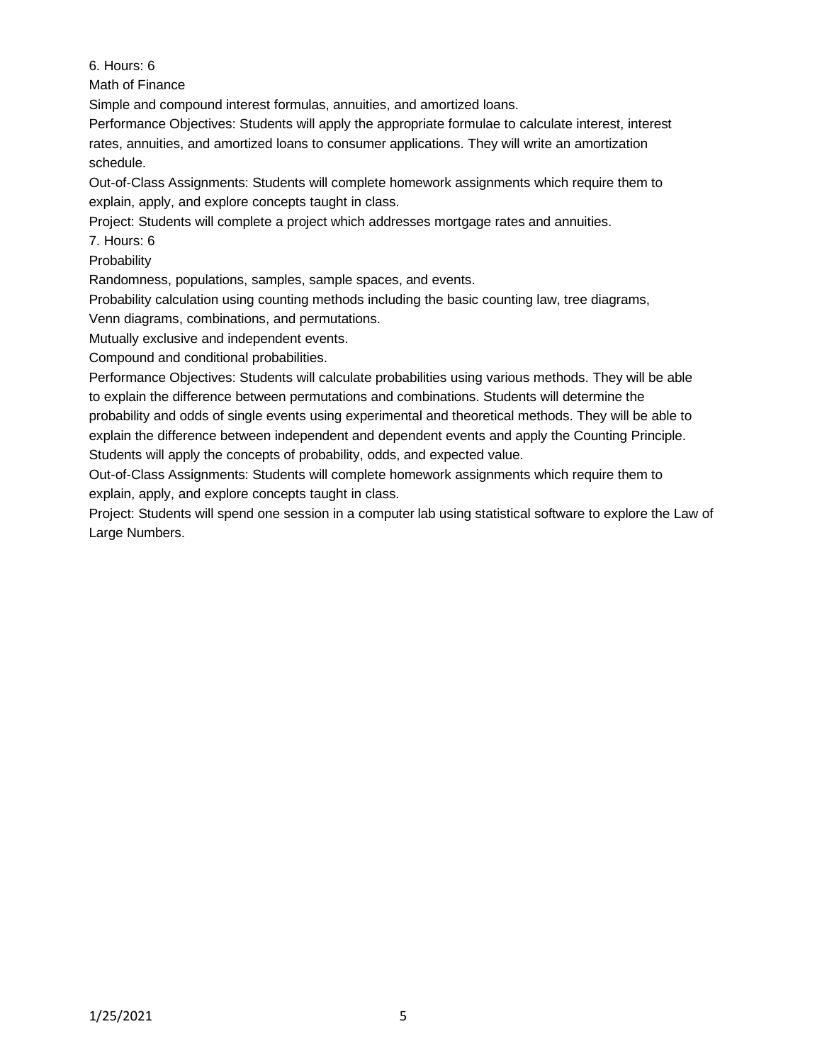6. Hours: 6

Math of Finance

Simple and compound interest formulas, annuities, and amortized loans.

Performance Objectives: Students will apply the appropriate formulae to calculate interest, interest rates, annuities, and amortized loans to consumer applications. They will write an amortization schedule.

Out-of-Class Assignments: Students will complete homework assignments which require them to explain, apply, and explore concepts taught in class.

Project: Students will complete a project which addresses mortgage rates and annuities.

7. Hours: 6

**Probability** 

Randomness, populations, samples, sample spaces, and events.

Probability calculation using counting methods including the basic counting law, tree diagrams,

Venn diagrams, combinations, and permutations.

Mutually exclusive and independent events.

Compound and conditional probabilities.

Performance Objectives: Students will calculate probabilities using various methods. They will be able to explain the difference between permutations and combinations. Students will determine the probability and odds of single events using experimental and theoretical methods. They will be able to explain the difference between independent and dependent events and apply the Counting Principle. Students will apply the concepts of probability, odds, and expected value.

Out-of-Class Assignments: Students will complete homework assignments which require them to explain, apply, and explore concepts taught in class.

Project: Students will spend one session in a computer lab using statistical software to explore the Law of Large Numbers.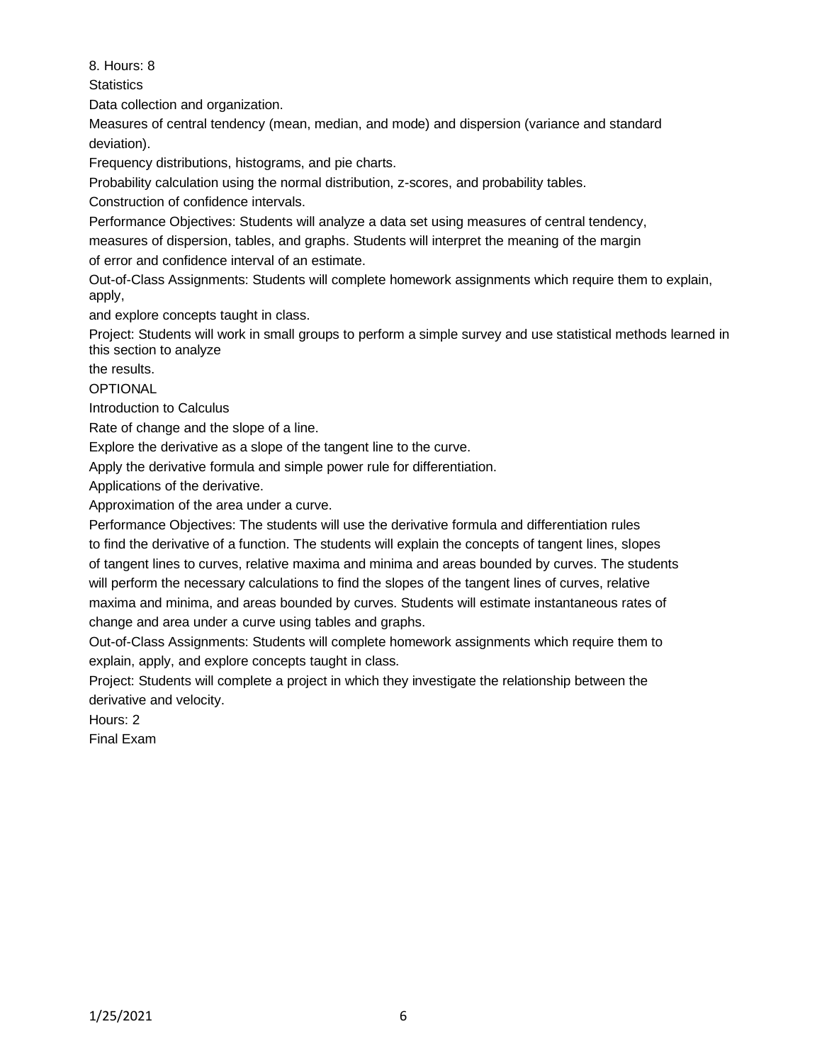8. Hours: 8

**Statistics** 

Data collection and organization.

Measures of central tendency (mean, median, and mode) and dispersion (variance and standard deviation).

Frequency distributions, histograms, and pie charts.

Probability calculation using the normal distribution, z-scores, and probability tables.

Construction of confidence intervals.

Performance Objectives: Students will analyze a data set using measures of central tendency,

measures of dispersion, tables, and graphs. Students will interpret the meaning of the margin

of error and confidence interval of an estimate.

Out-of-Class Assignments: Students will complete homework assignments which require them to explain, apply,

and explore concepts taught in class.

Project: Students will work in small groups to perform a simple survey and use statistical methods learned in this section to analyze

the results.

OPTIONAL

Introduction to Calculus

Rate of change and the slope of a line.

Explore the derivative as a slope of the tangent line to the curve.

Apply the derivative formula and simple power rule for differentiation.

Applications of the derivative.

Approximation of the area under a curve.

Performance Objectives: The students will use the derivative formula and differentiation rules to find the derivative of a function. The students will explain the concepts of tangent lines, slopes of tangent lines to curves, relative maxima and minima and areas bounded by curves. The students will perform the necessary calculations to find the slopes of the tangent lines of curves, relative maxima and minima, and areas bounded by curves. Students will estimate instantaneous rates of change and area under a curve using tables and graphs.

Out-of-Class Assignments: Students will complete homework assignments which require them to explain, apply, and explore concepts taught in class.

Project: Students will complete a project in which they investigate the relationship between the derivative and velocity.

Hours: 2

Final Exam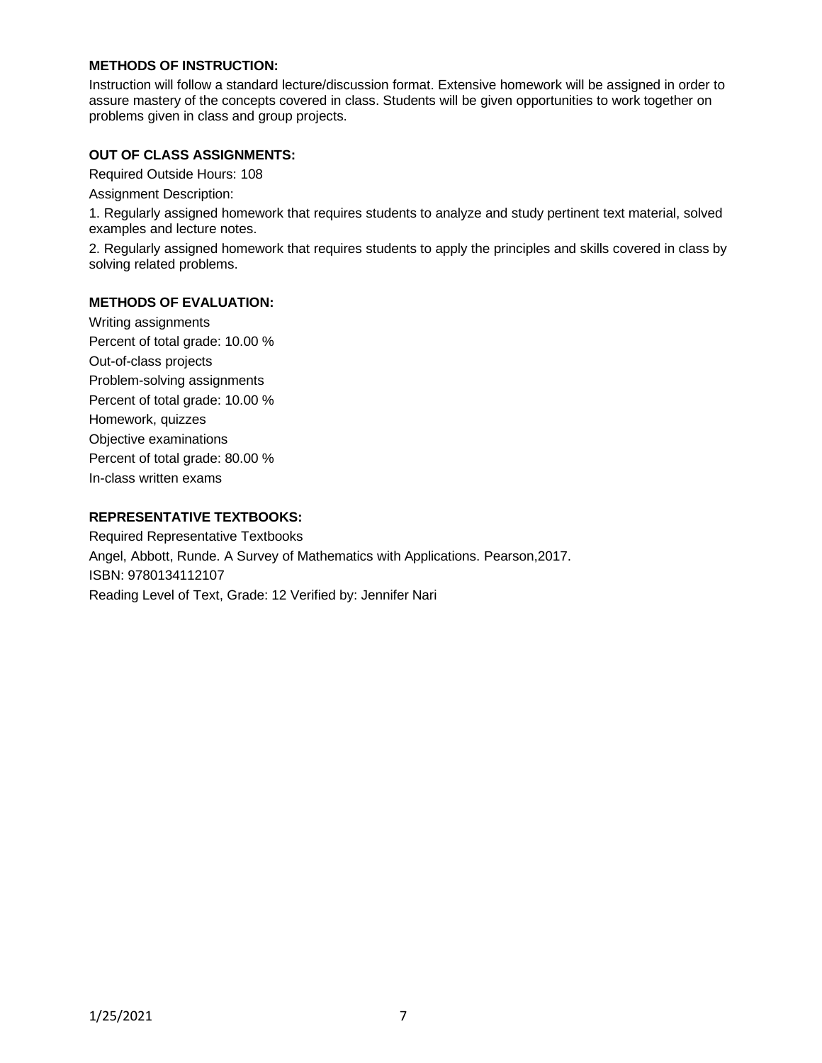## **METHODS OF INSTRUCTION:**

Instruction will follow a standard lecture/discussion format. Extensive homework will be assigned in order to assure mastery of the concepts covered in class. Students will be given opportunities to work together on problems given in class and group projects.

## **OUT OF CLASS ASSIGNMENTS:**

Required Outside Hours: 108

Assignment Description:

1. Regularly assigned homework that requires students to analyze and study pertinent text material, solved examples and lecture notes.

2. Regularly assigned homework that requires students to apply the principles and skills covered in class by solving related problems.

### **METHODS OF EVALUATION:**

Writing assignments Percent of total grade: 10.00 % Out-of-class projects Problem-solving assignments Percent of total grade: 10.00 % Homework, quizzes Objective examinations Percent of total grade: 80.00 % In-class written exams

# **REPRESENTATIVE TEXTBOOKS:**

Required Representative Textbooks Angel, Abbott, Runde. A Survey of Mathematics with Applications. Pearson,2017. ISBN: 9780134112107 Reading Level of Text, Grade: 12 Verified by: Jennifer Nari